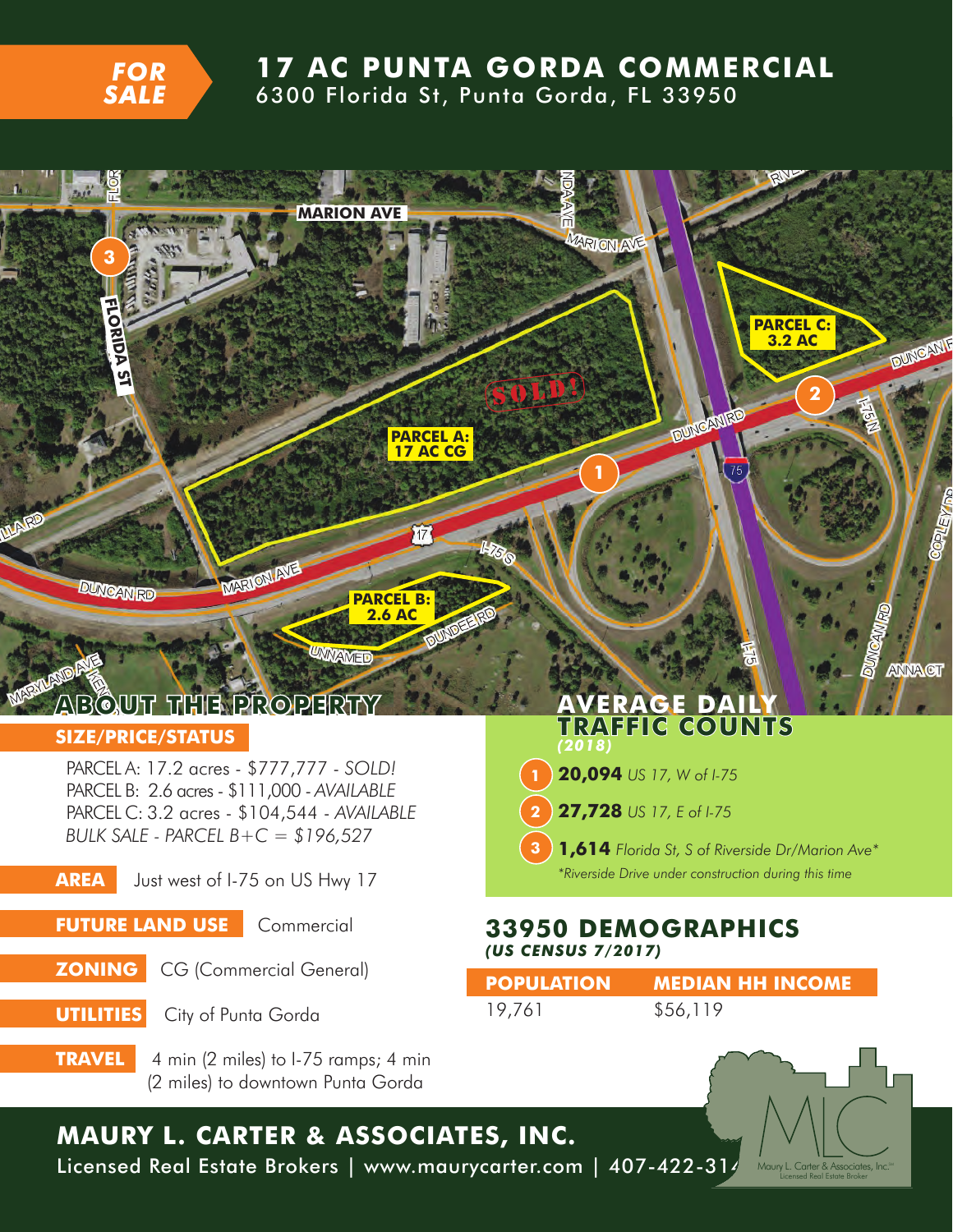

## **17 AC PUNTA GORDA COMMERCIAL**

6300 Florida St, Punta Gorda, FL 33950



## **MAURY L. CARTER & ASSOCIATES, INC.** Licensed Real Estate Brokers | www.maurycarter.com | 407-422-314

Maury L. Carter & Associates, Inc.<sup>s</sup><br>Licensed Real Estate Broker